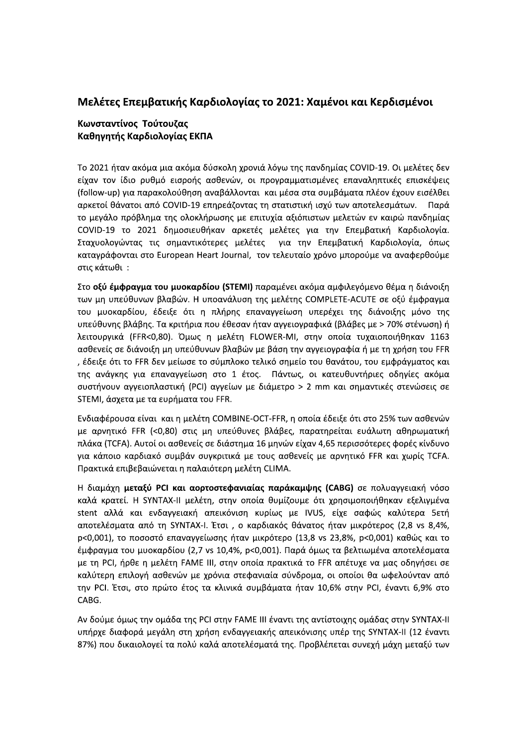## Μελέτες Επεμβατικής Καρδιολογίας το 2021: Χαμένοι και Κερδισμένοι

## Κωνσταντίνος Τούτουζας Καθηγητής Καρδιολογίας ΕΚΠΑ

Το 2021 ήταν ακόμα μια ακόμα δύσκολη χρονιά λόγω της πανδημίας COVID-19. Οι μελέτες δεν είχαν τον ίδιο ρυθμό εισροής ασθενών, οι προγραμματισμένες επαναληπτικές επισκέψεις (follow-up) για παρακολούθηση αναβάλλονται και μέσα στα συμβάματα πλέον έχουν εισέλθει αρκετοί θάνατοι από COVID-19 επηρεάζοντας τη στατιστική ισχύ των αποτελεσμάτων. Παρά το μεγάλο πρόβλημα της ολοκλήρωσης με επιτυχία αξιόπιστων μελετών εν καιρώ πανδημίας COVID-19 το 2021 δημοσιευθήκαν αρκετές μελέτες για την Επεμβατική Καρδιολογία. Σταχυολογώντας τις σημαντικότερες μελέτες για την Επεμβατική Καρδιολογία, όπως καταγράφονται στο European Heart Journal, τον τελευταίο χρόνο μπορούμε να αναφερθούμε στις κάτωθι:

Στο οξύ έμφραγμα του μυοκαρδίου (STEMI) παραμένει ακόμα αμφιλεγόμενο θέμα η διάνοιξη των μη υπεύθυνων βλαβών. Η υποανάλυση της μελέτης COMPLETE-ACUTE σε οξύ έμφραγμα του μυοκαρδίου, έδειξε ότι η πλήρης επαναγγείωση υπερέχει της διάνοιξης μόνο της υπεύθυνης βλάβης. Τα κριτήρια που έθεσαν ήταν αγγειογραφικά (βλάβες με > 70% στένωση) ή λειτουργικά (FFR<0,80). Όμως η μελέτη FLOWER-MI, στην οποία τυχαιοποιήθηκαν 1163 ασθενείς σε διάνοιξη μη υπεύθυνων βλαβών με βάση την αγγειογραφία ή με τη χρήση του FFR , έδειξε ότι το FFR δεν μείωσε το σύμπλοκο τελικό σημείο του θανάτου, του εμφράγματος και της ανάγκης για επαναγγείωση στο 1 έτος. Πάντως, οι κατευθυντήριες οδηγίες ακόμα συστήνουν αγγειοπλαστική (PCI) αγγείων με διάμετρο > 2 mm και σημαντικές στενώσεις σε STEMI, άσχετα με τα ευρήματα του FFR.

Ενδιαφέρουσα είναι και η μελέτη COMBINE-OCT-FFR, η οποία έδειξε ότι στο 25% των ασθενών με αρνητικό FFR (<0,80) στις μη υπεύθυνες βλάβες, παρατηρείται ευάλωτη αθηρωματική πλάκα (TCFA). Αυτοί οι ασθενείς σε διάστημα 16 μηνών είχαν 4,65 περισσότερες φορές κίνδυνο για κάποιο καρδιακό συμβάν συγκριτικά με τους ασθενείς με αρνητικό FFR και χωρίς TCFA. Πρακτικά επιβεβαιώνεται η παλαιότερη μελέτη CLIMA.

Η διαμάχη μεταξύ PCI και αορτοστεφανιαίας παράκαμψης (CABG) σε πολυαγγειακή νόσο καλά κρατεί. Η SYNTAX-II μελέτη, στην οποία θυμίζουμε ότι χρησιμοποιήθηκαν εξελιγμένα stent αλλά και ενδαγγειακή απεικόνιση κυρίως με IVUS, είχε σαφώς καλύτερα 5ετή αποτελέσματα από τη SYNTAX-I. Έτσι, ο καρδιακός θάνατος ήταν μικρότερος (2,8 vs 8,4%, p<0,001), το ποσοστό επαναγγείωσης ήταν μικρότερο (13,8 vs 23,8%, p<0,001) καθώς και το έμφραγμα του μυοκαρδίου (2,7 vs 10,4%, p<0,001). Παρά όμως τα βελτιωμένα αποτελέσματα με τη PCI, ήρθε η μελέτη FAME III, στην οποία πρακτικά το FFR απέτυχε να μας οδηγήσει σε καλύτερη επιλογή ασθενών με χρόνια στεφανιαία σύνδρομα, οι οποίοι θα ωφελούνταν από την PCI. Έτσι, στο πρώτο έτος τα κλινικά συμβάματα ήταν 10,6% στην PCI, έναντι 6,9% στο CABG.

Αν δούμε όμως την ομάδα της PCI στην FAME III έναντι της αντίστοιχης ομάδας στην SYNTAX-II υπήρχε διαφορά μεγάλη στη χρήση ενδαγγειακής απεικόνισης υπέρ της SYNTAX-II (12 έναντι 87%) που δικαιολογεί τα πολύ καλά αποτελέσματά της. Προβλέπεται συνεχή μάχη μεταξύ των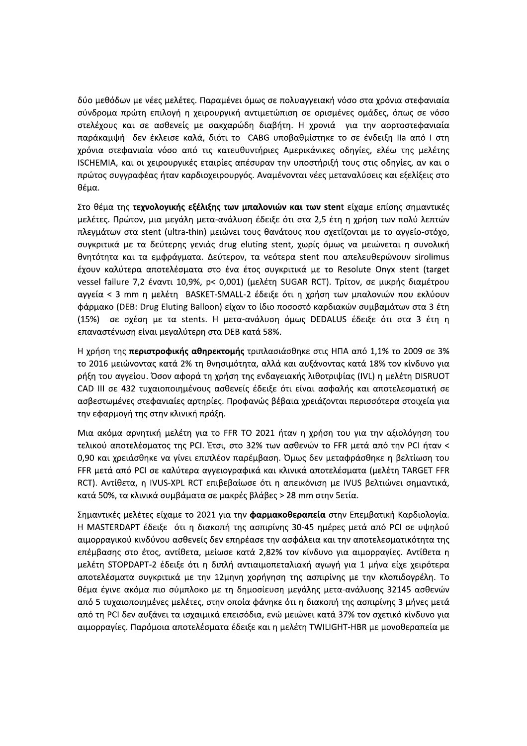δύο μεθόδων με νέες μελέτες. Παραμένει όμως σε πολυαγγειακή νόσο στα χρόνια στεφανιαία σύνδρομα πρώτη επιλογή η χειρουργική αντιμετώπιση σε ορισμένες ομάδες, όπως σε νόσο στελέχους και σε ασθενείς με σακχαρώδη διαβήτη. Η χρονιά για την αορτοστεφανιαία παράκαμψή δεν έκλεισε καλά, διότι το CABG υποβαθμίστηκε το σε ένδειξη IIa από I στη χρόνια στεφανιαία νόσο από τις κατευθυντήριες Αμερικάνικες οδηγίες, ελέω της μελέτης ISCHEMIA, και οι χειρουργικές εταιρίες απέσυραν την υποστήριξή τους στις οδηγίες, αν και ο πρώτος συγγραφέας ήταν καρδιοχειρουργός. Αναμένονται νέες μεταναλύσεις και εξελίξεις στο θέμα.

Στο θέμα της τεχνολογικής εξέλιξης των μπαλονιών και των stent είχαμε επίσης σημαντικές μελέτες. Πρώτον, μια μεγάλη μετα-ανάλυση έδειξε ότι στα 2,5 έτη η χρήση των πολύ λεπτών πλεγμάτων στα stent (ultra-thin) μειώνει τους θανάτους που σχετίζονται με το αγγείο-στόχο, συγκριτικά με τα δεύτερης γενιάς drug eluting stent, χωρίς όμως να μειώνεται η συνολική θνητότητα και τα εμφράγματα. Δεύτερον, τα νεότερα stent που απελευθερώνουν sirolimus έχουν καλύτερα αποτελέσματα στο ένα έτος συγκριτικά με το Resolute Onyx stent (target vessel failure 7,2 έναντι 10,9%, p< 0,001) (μελέτη SUGAR RCT). Τρίτον, σε μικρής διαμέτρου αγγεία < 3 mm η μελέτη BASKET-SMALL-2 έδειξε ότι η χρήση των μπαλονιών που εκλύουν φάρμακο (DEB: Drug Eluting Balloon) είχαν το ίδιο ποσοστό καρδιακών συμβαμάτων στα 3 έτη (15%) σε σχέση με τα stents. Η μετα-ανάλυση όμως DEDALUS έδειξε ότι στα 3 έτη η επαναστένωση είναι μεγαλύτερη στα DEB κατά 58%.

Η χρήση της **περιστροφικής αθηρεκτομής** τριπλασιάσθηκε στις ΗΠΑ από 1,1% το 2009 σε 3% το 2016 μειώνοντας κατά 2% τη θνησιμότητα, αλλά και αυξάνοντας κατά 18% τον κίνδυνο για ρήξη του αγγείου. Όσον αφορά τη χρήση της ενδαγειακής λιθοτριψίας (IVL) η μελέτη DISRUOT CAD III σε 432 τυχαιοποιημένους ασθενείς έδειξε ότι είναι ασφαλής και αποτελεσματική σε ασβεστωμένες στεφανιαίες αρτηρίες. Προφανώς βέβαια χρειάζονται περισσότερα στοιχεία για την εφαρμογή της στην κλινική πράξη.

Μια ακόμα αρνητική μελέτη για το FFR TO 2021 ήταν η χρήση του για την αξιολόγηση του τελικού αποτελέσματος της PCI. Έτσι, στο 32% των ασθενών το FFR μετά από την PCI ήταν < 0,90 και χρειάσθηκε να γίνει επιπλέον παρέμβαση. Όμως δεν μεταφράσθηκε η βελτίωση του FFR μετά από PCI σε καλύτερα αγγειογραφικά και κλινικά αποτελέσματα (μελέτη TARGET FFR RCT). Αντίθετα, η IVUS-XPL RCT επιβεβαίωσε ότι η απεικόνιση με IVUS βελτιώνει σημαντικά, κατά 50%, τα κλινικά συμβάματα σε μακρές βλάβες > 28 mm στην 5ετία.

Σημαντικές μελέτες είχαμε το 2021 για την **φαρμακοθεραπεία** στην Επεμβατική Καρδιολογία. Η MASTERDAPT έδειξε ότι η διακοπή της ασπιρίνης 30-45 ημέρες μετά από PCI σε υψηλού αιμορραγικού κινδύνου ασθενείς δεν επηρέασε την ασφάλεια και την αποτελεσματικότητα της επέμβασης στο έτος, αντίθετα, μείωσε κατά 2,82% τον κίνδυνο για αιμορραγίες. Αντίθετα η μελέτη STOPDAPT-2 έδειξε ότι η διπλή αντιαιμοπεταλιακή αγωγή για 1 μήνα είχε χειρότερα αποτελέσματα συγκριτικά με την 12μηνη χορήγηση της ασπιρίνης με την κλοπιδογρέλη. Το θέμα έγινε ακόμα πιο σύμπλοκο με τη δημοσίευση μεγάλης μετα-ανάλυσης 32145 ασθενών από 5 τυχαιοποιημένες μελέτες, στην οποία φάνηκε ότι η διακοπή της ασπιρίνης 3 μήνες μετά από τη PCI δεν αυξάνει τα ισχαιμικά επεισόδια, ενώ μειώνει κατά 37% τον σχετικό κίνδυνο για αιμορραγίες. Παρόμοια αποτελέσματα έδειξε και η μελέτη TWILIGHT-HBR με μονοθεραπεία με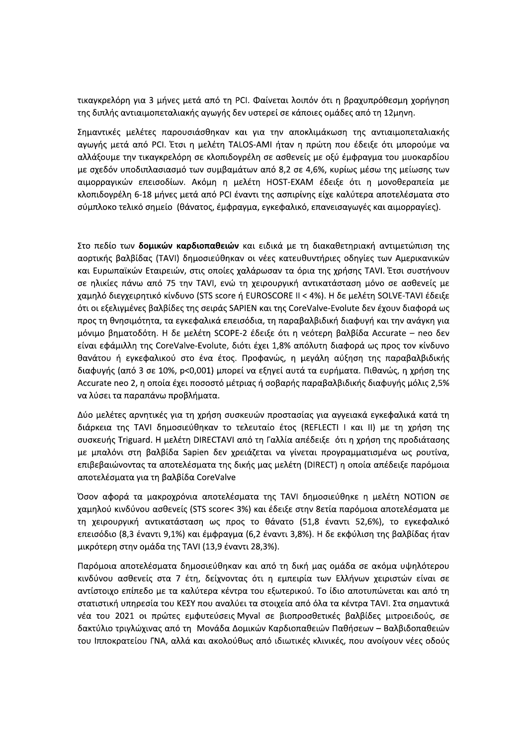τικαγκρελόρη για 3 μήνες μετά από τη PCI. Φαίνεται λοιπόν ότι η βραχυπρόθεσμη χορήγηση της διπλής αντιαιμοπεταλιακής αγωγής δεν υστερεί σε κάποιες ομάδες από τη 12μηνη.

Σημαντικές μελέτες παρουσιάσθηκαν και για την αποκλιμάκωση της αντιαιμοπεταλιακής αγωγής μετά από PCI. Έτσι η μελέτη TALOS-AMI ήταν η πρώτη που έδειξε ότι μπορούμε να αλλάξουμε την τικαγκρελόρη σε κλοπιδογρέλη σε ασθενείς με οξύ έμφραγμα του μυοκαρδίου με σχεδόν υποδιπλασιασμό των συμβαμάτων από 8,2 σε 4,6%, κυρίως μέσω της μείωσης των αιμορραγικών επεισοδίων. Ακόμη η μελέτη HOST-EXAM έδειξε ότι η μονοθεραπεία με κλοπιδογρέλη 6-18 μήνες μετά από PCI έναντι της ασπιρίνης είχε καλύτερα αποτελέσματα στο σύμπλοκο τελικό σημείο (θάνατος, έμφραγμα, εγκεφαλικό, επανεισαγωγές και αιμορραγίες).

Στο πεδίο των δομικών καρδιοπαθειών και ειδικά με τη διακαθετηριακή αντιμετώπιση της αορτικής βαλβίδας (TAVI) δημοσιεύθηκαν οι νέες κατευθυντήριες οδηγίες των Αμερικανικών και Ευρωπαϊκών Εταιρειών, στις οποίες χαλάρωσαν τα όρια της χρήσης ΤΑVΙ. Έτσι συστήνουν σε ηλικίες πάνω από 75 την TAVI, ενώ τη χειρουργική αντικατάσταση μόνο σε ασθενείς με χαμηλό διεγχειρητικό κίνδυνο (STS score ή EUROSCORE II < 4%). Η δε μελέτη SOLVE-TAVI έδειξε ότι οι εξελιγμένες βαλβίδες της σειράς SAPIEN και της CoreValve-Evolute δεν έχουν διαφορά ως προς τη θνησιμότητα, τα εγκεφαλικά επεισόδια, τη παραβαλβιδική διαφυγή και την ανάγκη για μόνιμο βηματοδότη. Η δε μελέτη SCOPE-2 έδειξε ότι η νεότερη βαλβίδα Accurate – neo δεν είναι εφάμιλλη της CoreValve-Evolute, διότι έχει 1,8% απόλυτη διαφορά ως προς τον κίνδυνο θανάτου ή εγκεφαλικού στο ένα έτος. Προφανώς, η μεγάλη αύξηση της παραβαλβιδικής διαφυγής (από 3 σε 10%, p<0,001) μπορεί να εξηγεί αυτά τα ευρήματα. Πιθανώς, η χρήση της Accurate neo 2, η οποία έχει ποσοστό μέτριας ή σοβαρής παραβαλβιδικής διαφυγής μόλις 2,5% να λύσει τα παραπάνω προβλήματα.

Δύο μελέτες αρνητικές για τη χρήση συσκευών προστασίας για αγγειακά εγκεφαλικά κατά τη διάρκεια της TAVI δημοσιεύθηκαν το τελευταίο έτος (REFLECTI I και II) με τη χρήση της συσκευής Triguard. Η μελέτη DIRECTAVI από τη Γαλλία απέδειξε ότι η χρήση της προδιάτασης με μπαλόνι στη βαλβίδα Sapien δεν χρειάζεται να γίνεται προγραμματισμένα ως ρουτίνα, επιβεβαιώνοντας τα αποτελέσματα της δικής μας μελέτη (DIRECT) η οποία απέδειξε παρόμοια αποτελέσματα για τη βαλβίδα CoreValve

Όσον αφορά τα μακροχρόνια αποτελέσματα της ΤΑVΙ δημοσιεύθηκε η μελέτη ΝΟΤΙΟΝ σε χαμηλού κινδύνου ασθενείς (STS score< 3%) και έδειξε στην 8ετία παρόμοια αποτελέσματα με τη χειρουργική αντικατάσταση ως προς το θάνατο (51,8 έναντι 52,6%), το εγκεφαλικό επεισόδιο (8,3 έναντι 9,1%) και έμφραγμα (6,2 έναντι 3,8%). Η δε εκφύλιση της βαλβίδας ήταν μικρότερη στην ομάδα της TAVI (13,9 έναντι 28,3%).

Παρόμοια αποτελέσματα δημοσιεύθηκαν και από τη δική μας ομάδα σε ακόμα υψηλότερου κινδύνου ασθενείς στα 7 έτη, δείχνοντας ότι η εμπειρία των Ελλήνων χειριστών είναι σε αντίστοιχο επίπεδο με τα καλύτερα κέντρα του εξωτερικού. Το ίδιο αποτυπώνεται και από τη στατιστική υπηρεσία του ΚΕΣΥ που αναλύει τα στοιχεία από όλα τα κέντρα TAVI. Στα σημαντικά νέα του 2021 οι πρώτες εμφυτεύσεις Myval σε βιοπροσθετικές βαλβίδες μιτροειδούς, σε δακτύλιο τριγλώχινας από τη Μονάδα Δομικών Καρδιοπαθειών Παθήσεων – Βαλβιδοπαθειών του Ιπποκρατείου ΓΝΑ, αλλά και ακολούθως από ιδιωτικές κλινικές, που ανοίγουν νέες οδούς